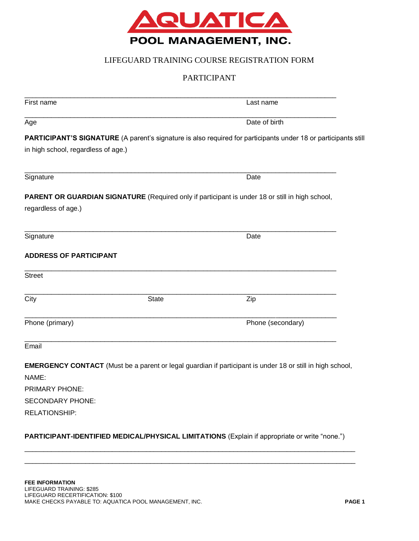

## LIFEGUARD TRAINING COURSE REGISTRATION FORM

## PARTICIPANT

|                                                                                               | Last name                                                                                                        |
|-----------------------------------------------------------------------------------------------|------------------------------------------------------------------------------------------------------------------|
|                                                                                               | Date of birth                                                                                                    |
|                                                                                               | PARTICIPANT'S SIGNATURE (A parent's signature is also required for participants under 18 or participants still   |
|                                                                                               |                                                                                                                  |
|                                                                                               |                                                                                                                  |
|                                                                                               | Date                                                                                                             |
|                                                                                               | PARENT OR GUARDIAN SIGNATURE (Required only if participant is under 18 or still in high school,                  |
|                                                                                               |                                                                                                                  |
|                                                                                               |                                                                                                                  |
|                                                                                               | Date                                                                                                             |
|                                                                                               |                                                                                                                  |
|                                                                                               |                                                                                                                  |
|                                                                                               | Zip                                                                                                              |
|                                                                                               | Phone (secondary)                                                                                                |
|                                                                                               |                                                                                                                  |
|                                                                                               | <b>EMERGENCY CONTACT</b> (Must be a parent or legal guardian if participant is under 18 or still in high school, |
|                                                                                               |                                                                                                                  |
|                                                                                               |                                                                                                                  |
|                                                                                               |                                                                                                                  |
|                                                                                               |                                                                                                                  |
| PARTICIPANT-IDENTIFIED MEDICAL/PHYSICAL LIMITATIONS (Explain if appropriate or write "none.") |                                                                                                                  |

\_\_\_\_\_\_\_\_\_\_\_\_\_\_\_\_\_\_\_\_\_\_\_\_\_\_\_\_\_\_\_\_\_\_\_\_\_\_\_\_\_\_\_\_\_\_\_\_\_\_\_\_\_\_\_\_\_\_\_\_\_\_\_\_\_\_\_\_\_\_\_\_\_\_\_\_\_\_\_\_\_\_\_\_\_\_\_ \_\_\_\_\_\_\_\_\_\_\_\_\_\_\_\_\_\_\_\_\_\_\_\_\_\_\_\_\_\_\_\_\_\_\_\_\_\_\_\_\_\_\_\_\_\_\_\_\_\_\_\_\_\_\_\_\_\_\_\_\_\_\_\_\_\_\_\_\_\_\_\_\_\_\_\_\_\_\_\_\_\_\_\_\_\_\_